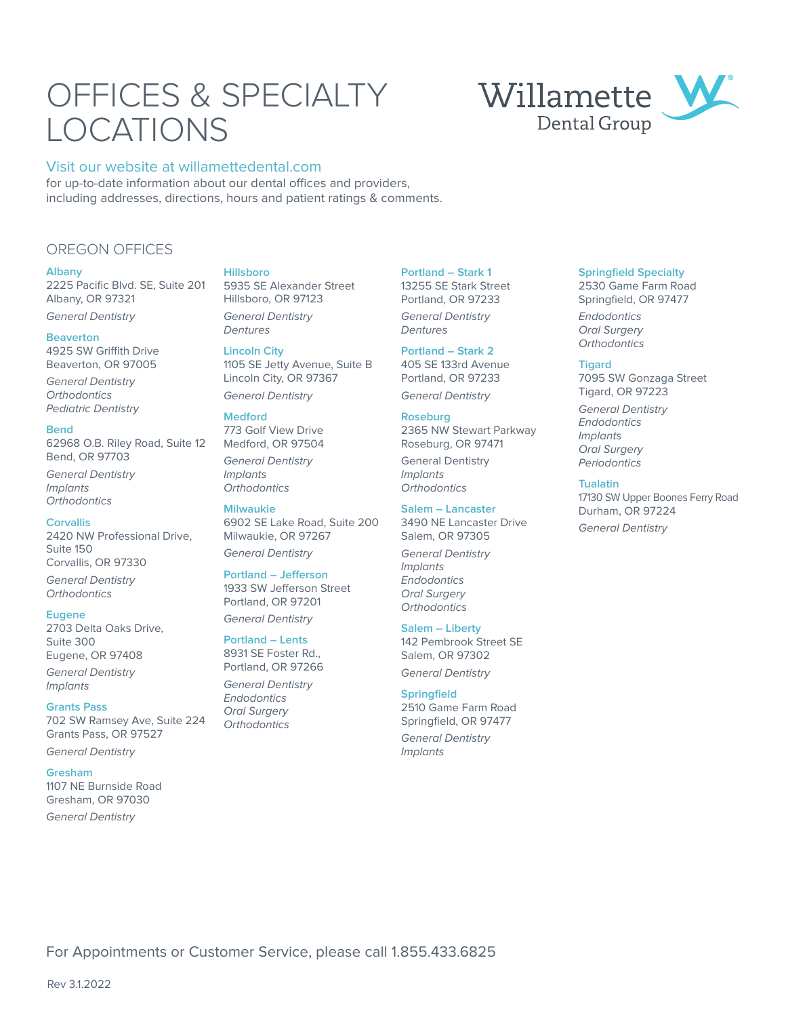# OFFICES & SPECIALTY LOCATIONS

### Visit our website at willamettedental.com

for up-to-date information about our dental offices and providers, including addresses, directions, hours and patient ratings & comments.

## OREGON OFFICES

#### **Albany**

2225 Pacific Blvd. SE, Suite 201 Albany, OR 97321 General Dentistry

## **Beaverton**

4925 SW Griffith Drive Beaverton, OR 97005

General Dentistry **Orthodontics** Pediatric Dentistry

#### **Bend**

62968 O.B. Riley Road, Suite 12 Bend, OR 97703

General Dentistry Implants **Orthodontics** 

#### **Corvallis**

2420 NW Professional Drive, Suite 150 Corvallis, OR 97330

General Dentistry **Orthodontics** 

#### **Eugene**

2703 Delta Oaks Drive, Suite 300 Eugene, OR 97408

General Dentistry Implants

#### **Grants Pass**

702 SW Ramsey Ave, Suite 224 Grants Pass, OR 97527

General Dentistry

#### **Gresham**

1107 NE Burnside Road Gresham, OR 97030 General Dentistry

#### **Hillsboro**

5935 SE Alexander Street Hillsboro, OR 97123 General Dentistry Dentures

#### **Lincoln City**

1105 SE Jetty Avenue, Suite B Lincoln City, OR 97367 General Dentistry

#### **Medford**

773 Golf View Drive Medford, OR 97504

General Dentistry Implants **Orthodontics** 

**Milwaukie** 6902 SE Lake Road, Suite 200 Milwaukie, OR 97267 General Dentistry

#### **Portland – Jefferson**

1933 SW Jefferson Street Portland, OR 97201 General Dentistry

**Portland – Lents**

8931 SE Foster Rd., Portland, OR 97266 General Dentistry

Endodontics Oral Surgery **Orthodontics**  **Portland – Stark 1** 13255 SE Stark Street Portland, OR 97233 General Dentistry

Dentures **Portland – Stark 2** 405 SE 133rd Avenue

Portland, OR 97233 General Dentistry

## **Roseburg**

2365 NW Stewart Parkway Roseburg, OR 97471

General Dentistry Implants **Orthodontics** 

#### **Salem – Lancaster**

3490 NE Lancaster Drive Salem, OR 97305

General Dentistry Implants Endodontics Oral Surgery **Orthodontics** 

#### **Salem – Liberty**

142 Pembrook Street SE Salem, OR 97302 General Dentistry

#### **Springfield**

2510 Game Farm Road Springfield, OR 97477

General Dentistry Implants

#### **Springfield Specialty**

2530 Game Farm Road Springfield, OR 97477

Endodontics Oral Surgery **Orthodontics** 

#### **Tigard**

7095 SW Gonzaga Street Tigard, OR 97223

General Dentistry **Endodontics** Implants Oral Surgery Periodontics

#### **Tualatin**

17130 SW Upper Boones Ferry Road Durham, OR 97224 General Dentistry

## Willamette Dental Group